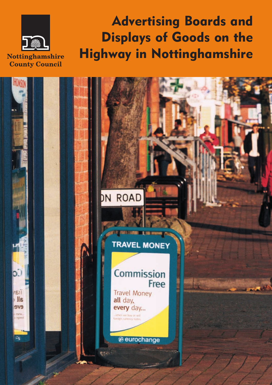

**Advertising Boards and Displays of Goods on the Highway in Nottinghamshire**

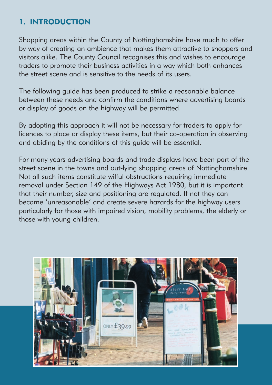## **1. INTRODUCTION**

Shopping areas within the County of Nottinghamshire have much to offer by way of creating an ambience that makes them attractive to shoppers and visitors alike. The County Council recognises this and wishes to encourage traders to promote their business activities in a way which both enhances the street scene and is sensitive to the needs of its users.

The following guide has been produced to strike a reasonable balance between these needs and confirm the conditions where advertising boards or display of goods on the highway will be permitted.

By adopting this approach it will not be necessary for traders to apply for licences to place or display these items, but their co-operation in observing and abiding by the conditions of this guide will be essential.

For many years advertising boards and trade displays have been part of the street scene in the towns and out-lying shopping areas of Nottinghamshire. Not all such items constitute wilful obstructions requiring immediate removal under Section 149 of the Highways Act 1980, but it is important that their number, size and positioning are regulated. If not they can become 'unreasonable' and create severe hazards for the highway users particularly for those with impaired vision, mobility problems, the elderly or those with young children.

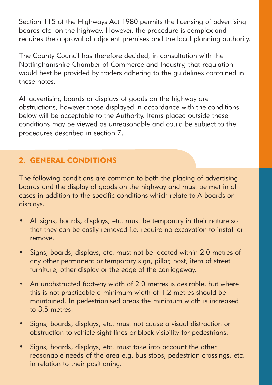Section 115 of the Highways Act 1980 permits the licensing of advertising boards etc. on the highway. However, the procedure is complex and requires the approval of adjacent premises and the local planning authority.

The County Council has therefore decided, in consultation with the Nottinghamshire Chamber of Commerce and Industry, that regulation would best be provided by traders adhering to the guidelines contained in these notes.

All advertising boards or displays of goods on the highway are obstructions, however those displayed in accordance with the conditions below will be acceptable to the Authority. Items placed outside these conditions may be viewed as unreasonable and could be subject to the procedures described in section 7.

# **2. GENERAL CONDITIONS**

The following conditions are common to both the placing of advertising boards and the display of goods on the highway and must be met in all cases in addition to the specific conditions which relate to A-boards or displays.

- All signs, boards, displays, etc. must be temporary in their nature so that they can be easily removed i.e. require no excavation to install or remove.
- Signs, boards, displays, etc. must not be located within 2.0 metres of any other permanent or temporary sign, pillar, post, item of street furniture, other display or the edge of the carriageway.
- An unobstructed footway width of 2.0 metres is desirable, but where this is not practicable a minimum width of 1.2 metres should be maintained. In pedestrianised areas the minimum width is increased to 3.5 metres.
- Signs, boards, displays, etc. must not cause a visual distraction or obstruction to vehicle sight lines or block visibility for pedestrians.
- Signs, boards, displays, etc. must take into account the other reasonable needs of the area e.g. bus stops, pedestrian crossings, etc. in relation to their positioning.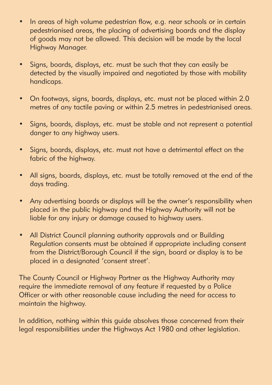- In areas of high volume pedestrian flow, e.g. near schools or in certain pedestrianised areas, the placing of advertising boards and the display of goods may not be allowed. This decision will be made by the local Highway Manager.
- Signs, boards, displays, etc. must be such that they can easily be detected by the visually impaired and negotiated by those with mobility handicaps.
- On footways, signs, boards, displays, etc. must not be placed within 2.0 metres of any tactile paving or within 2.5 metres in pedestrianised areas.
- Signs, boards, displays, etc. must be stable and not represent a potential danger to any highway users.
- Signs, boards, displays, etc. must not have a detrimental effect on the fabric of the highway.
- All signs, boards, displays, etc. must be totally removed at the end of the days trading.
- Any advertising boards or displays will be the owner's responsibility when placed in the public highway and the Highway Authority will not be liable for any injury or damage caused to highway users.
- All District Council planning authority approvals and or Building Regulation consents must be obtained if appropriate including consent from the District/Borough Council if the sign, board or display is to be placed in a designated 'consent street'.

The County Council or Highway Partner as the Highway Authority may require the immediate removal of any feature if requested by a Police Officer or with other reasonable cause including the need for access to maintain the highway.

In addition, nothing within this guide absolves those concerned from their legal responsibilities under the Highways Act 1980 and other legislation.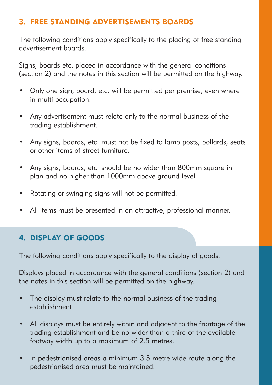## **3. FREE STANDING ADVERTISEMENTS BOARDS**

The following conditions apply specifically to the placing of free standing advertisement boards.

Signs, boards etc. placed in accordance with the general conditions (section 2) and the notes in this section will be permitted on the highway.

- Only one sign, board, etc. will be permitted per premise, even where in multi-occupation.
- Any advertisement must relate only to the normal business of the trading establishment.
- Any signs, boards, etc. must not be fixed to lamp posts, bollards, seats or other items of street furniture.
- Any signs, boards, etc. should be no wider than 800mm square in plan and no higher than 1000mm above ground level.
- Rotating or swinging signs will not be permitted.
- All items must be presented in an attractive, professional manner.

#### **4. DISPLAY OF GOODS**

The following conditions apply specifically to the display of goods.

Displays placed in accordance with the general conditions (section 2) and the notes in this section will be permitted on the highway.

- The display must relate to the normal business of the trading establishment.
- All displays must be entirely within and adjacent to the frontage of the trading establishment and be no wider than a third of the available footway width up to a maximum of 2.5 metres.
- In pedestrianised areas a minimum 3.5 metre wide route along the pedestrianised area must be maintained.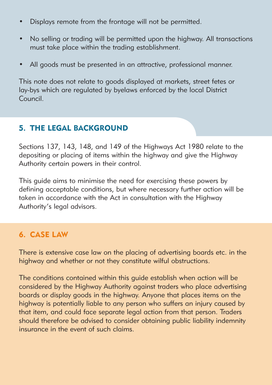- Displays remote from the frontage will not be permitted.
- No selling or trading will be permitted upon the highway. All transactions must take place within the trading establishment.
- All goods must be presented in an attractive, professional manner.

This note does not relate to goods displayed at markets, street fetes or lay-bys which are regulated by byelaws enforced by the local District Council.

## **5. THE LEGAL BACKGROUND**

Sections 137, 143, 148, and 149 of the Highways Act 1980 relate to the depositing or placing of items within the highway and give the Highway Authority certain powers in their control.

This guide aims to minimise the need for exercising these powers by defining acceptable conditions, but where necessary further action will be taken in accordance with the Act in consultation with the Highway Authority's legal advisors.

### **6. CASE LAW**

There is extensive case law on the placing of advertising boards etc. in the highway and whether or not they constitute wilful obstructions.

The conditions contained within this guide establish when action will be considered by the Highway Authority against traders who place advertising boards or display goods in the highway. Anyone that places items on the highway is potentially liable to any person who suffers an injury caused by that item, and could face separate legal action from that person. Traders should therefore be advised to consider obtaining public liability indemnity insurance in the event of such claims.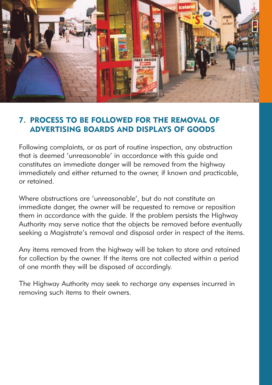

## **7. PROCESS TO BE FOLLOWED FOR THE REMOVAL OF ADVERTISING BOARDS AND DISPLAYS OF GOODS**

Following complaints, or as part of routine inspection, any obstruction that is deemed 'unreasonable' in accordance with this guide and constitutes an immediate danger will be removed from the highway immediately and either returned to the owner, if known and practicable, or retained.

Where obstructions are 'unreasonable', but do not constitute an immediate danger, the owner will be requested to remove or reposition them in accordance with the guide. If the problem persists the Highway Authority may serve notice that the objects be removed before eventually seeking a Magistrate's removal and disposal order in respect of the items.

Any items removed from the highway will be taken to store and retained for collection by the owner. If the items are not collected within a period of one month they will be disposed of accordingly.

The Highway Authority may seek to recharge any expenses incurred in removing such items to their owners.